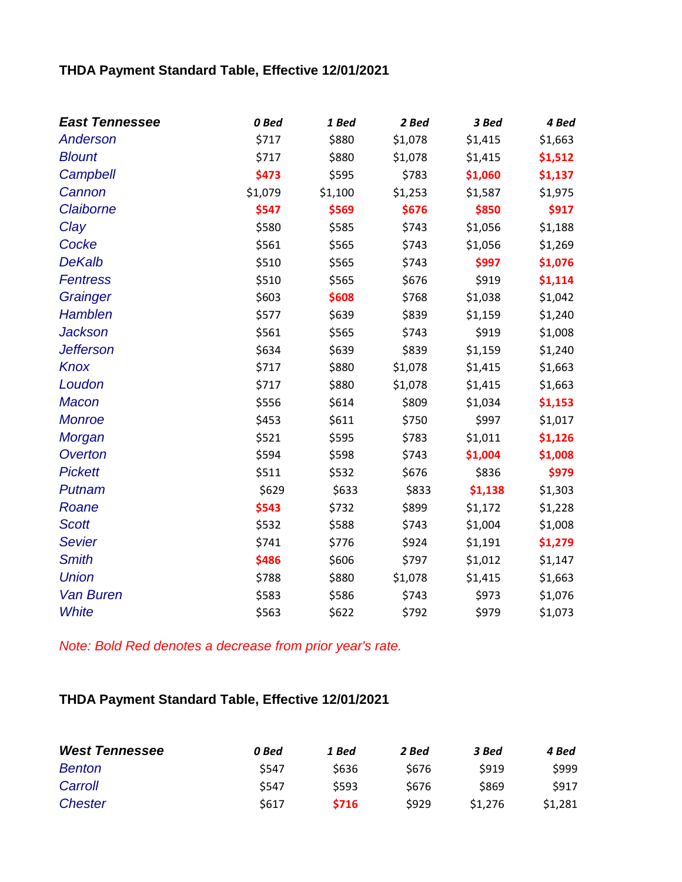## **THDA Payment Standard Table, Effective 12/01/2021**

| <b>East Tennessee</b> | 0 Bed   | 1 Bed   | 2 Bed   | 3 Bed   | 4 Bed   |
|-----------------------|---------|---------|---------|---------|---------|
| Anderson              | \$717   | \$880   | \$1,078 | \$1,415 | \$1,663 |
| <b>Blount</b>         | \$717   | \$880   | \$1,078 | \$1,415 | \$1,512 |
| Campbell              | \$473   | \$595   | \$783   | \$1,060 | \$1,137 |
| Cannon                | \$1,079 | \$1,100 | \$1,253 | \$1,587 | \$1,975 |
| Claiborne             | \$547   | \$569   | \$676   | \$850   | \$917   |
| Clay                  | \$580   | \$585   | \$743   | \$1,056 | \$1,188 |
| Cocke                 | \$561   | \$565   | \$743   | \$1,056 | \$1,269 |
| <b>DeKalb</b>         | \$510   | \$565   | \$743   | \$997   | \$1,076 |
| <b>Fentress</b>       | \$510   | \$565   | \$676   | \$919   | \$1,114 |
| Grainger              | \$603   | \$608   | \$768   | \$1,038 | \$1,042 |
| Hamblen               | \$577   | \$639   | \$839   | \$1,159 | \$1,240 |
| <b>Jackson</b>        | \$561   | \$565   | \$743   | \$919   | \$1,008 |
| <b>Jefferson</b>      | \$634   | \$639   | \$839   | \$1,159 | \$1,240 |
| Knox                  | \$717   | \$880   | \$1,078 | \$1,415 | \$1,663 |
| Loudon                | \$717   | \$880   | \$1,078 | \$1,415 | \$1,663 |
| <b>Macon</b>          | \$556   | \$614   | \$809   | \$1,034 | \$1,153 |
| <b>Monroe</b>         | \$453   | \$611   | \$750   | \$997   | \$1,017 |
| Morgan                | \$521   | \$595   | \$783   | \$1,011 | \$1,126 |
| Overton               | \$594   | \$598   | \$743   | \$1,004 | \$1,008 |
| <b>Pickett</b>        | \$511   | \$532   | \$676   | \$836   | \$979   |
| Putnam                | \$629   | \$633   | \$833   | \$1,138 | \$1,303 |
| Roane                 | \$543   | \$732   | \$899   | \$1,172 | \$1,228 |
| <b>Scott</b>          | \$532   | \$588   | \$743   | \$1,004 | \$1,008 |
| <b>Sevier</b>         | \$741   | \$776   | \$924   | \$1,191 | \$1,279 |
| <b>Smith</b>          | \$486   | \$606   | \$797   | \$1,012 | \$1,147 |
| <b>Union</b>          | \$788   | \$880   | \$1,078 | \$1,415 | \$1,663 |
| <b>Van Buren</b>      | \$583   | \$586   | \$743   | \$973   | \$1,076 |
| <b>White</b>          | \$563   | \$622   | \$792   | \$979   | \$1,073 |

*Note: Bold Red denotes a decrease from prior year's rate.*

## **THDA Payment Standard Table, Effective 12/01/2021**

| <b>West Tennessee</b> | 0 Bed | 1 Bed       | 2 Bed | 3 Bed       | 4 Bed       |
|-----------------------|-------|-------------|-------|-------------|-------------|
| <b>Benton</b>         | \$547 | \$636       | \$676 | <b>S919</b> | \$999       |
| Carroll               | \$547 | \$593       | \$676 | \$869       | <b>S917</b> |
| Chester               | \$617 | <b>S716</b> | \$929 | \$1,276     | \$1.281     |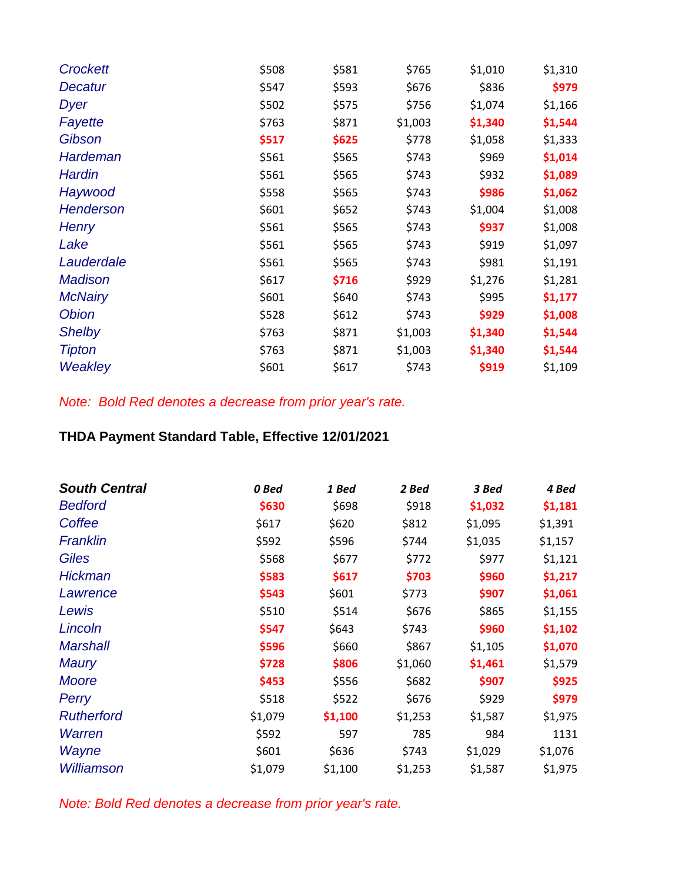| <b>Crockett</b>  | \$508 | \$581 | \$765   | \$1,010 | \$1,310 |
|------------------|-------|-------|---------|---------|---------|
| Decatur          | \$547 | \$593 | \$676   | \$836   | \$979   |
| <b>Dyer</b>      | \$502 | \$575 | \$756   | \$1,074 | \$1,166 |
| Fayette          | \$763 | \$871 | \$1,003 | \$1,340 | \$1,544 |
| Gibson           | \$517 | \$625 | \$778   | \$1,058 | \$1,333 |
| <b>Hardeman</b>  | \$561 | \$565 | \$743   | \$969   | \$1,014 |
| Hardin           | \$561 | \$565 | \$743   | \$932   | \$1,089 |
| Haywood          | \$558 | \$565 | \$743   | \$986   | \$1,062 |
| <b>Henderson</b> | \$601 | \$652 | \$743   | \$1,004 | \$1,008 |
| <b>Henry</b>     | \$561 | \$565 | \$743   | \$937   | \$1,008 |
| Lake             | \$561 | \$565 | \$743   | \$919   | \$1,097 |
| Lauderdale       | \$561 | \$565 | \$743   | \$981   | \$1,191 |
| <b>Madison</b>   | \$617 | \$716 | \$929   | \$1,276 | \$1,281 |
| <b>McNairy</b>   | \$601 | \$640 | \$743   | \$995   | \$1,177 |
| <b>Obion</b>     | \$528 | \$612 | \$743   | \$929   | \$1,008 |
| <b>Shelby</b>    | \$763 | \$871 | \$1,003 | \$1,340 | \$1,544 |
| <b>Tipton</b>    | \$763 | \$871 | \$1,003 | \$1,340 | \$1,544 |
| Weakley          | \$601 | \$617 | \$743   | \$919   | \$1,109 |

*Note: Bold Red denotes a decrease from prior year's rate.*

## **THDA Payment Standard Table, Effective 12/01/2021**

| <b>South Central</b> | 0 Bed   | 1 Bed   | 2 Bed   | 3 Bed   | 4 Bed   |
|----------------------|---------|---------|---------|---------|---------|
| <b>Bedford</b>       | \$630   | \$698   | \$918   | \$1,032 | \$1,181 |
| Coffee               | \$617   | \$620   | \$812   | \$1,095 | \$1,391 |
| Franklin             | \$592   | \$596   | \$744   | \$1,035 | \$1,157 |
| <b>Giles</b>         | \$568   | \$677   | \$772   | \$977   | \$1,121 |
| <b>Hickman</b>       | \$583   | \$617   | \$703   | \$960   | \$1,217 |
| Lawrence             | \$543   | \$601   | \$773   | \$907   | \$1,061 |
| Lewis                | \$510   | \$514   | \$676   | \$865   | \$1,155 |
| Lincoln              | \$547   | \$643   | \$743   | \$960   | \$1,102 |
| <b>Marshall</b>      | \$596   | \$660   | \$867   | \$1,105 | \$1,070 |
| <b>Maury</b>         | \$728   | \$806   | \$1,060 | \$1,461 | \$1,579 |
| <b>Moore</b>         | \$453   | \$556   | \$682   | \$907   | \$925   |
| Perry                | \$518   | \$522   | \$676   | \$929   | \$979   |
| <b>Rutherford</b>    | \$1,079 | \$1,100 | \$1,253 | \$1,587 | \$1,975 |
| Warren               | \$592   | 597     | 785     | 984     | 1131    |
| Wayne                | \$601   | \$636   | \$743   | \$1,029 | \$1,076 |
| Williamson           | \$1,079 | \$1,100 | \$1,253 | \$1,587 | \$1,975 |

*Note: Bold Red denotes a decrease from prior year's rate.*